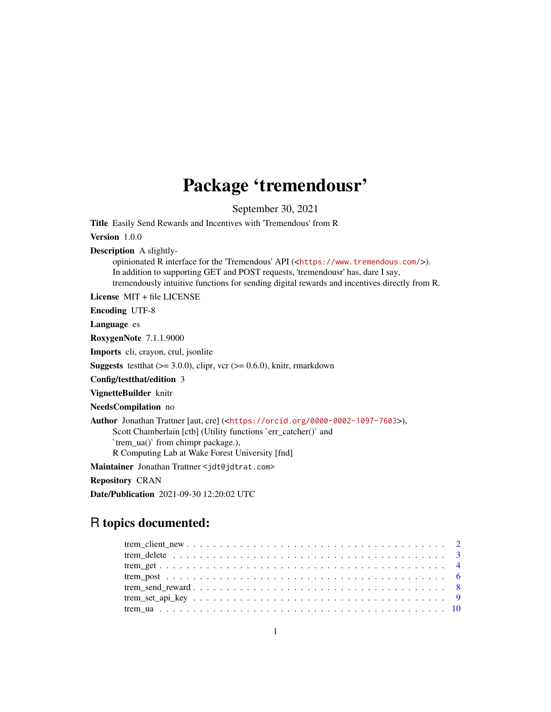## Package 'tremendousr'

September 30, 2021

<span id="page-0-0"></span>Title Easily Send Rewards and Incentives with 'Tremendous' from R

Version 1.0.0

Description A slightly-

opinionated R interface for the 'Tremendous' API (<<https://www.tremendous.com/>>). In addition to supporting GET and POST requests, 'tremendousr' has, dare I say, tremendously intuitive functions for sending digital rewards and incentives directly from R.

License MIT + file LICENSE

Encoding UTF-8

Language es

RoxygenNote 7.1.1.9000

Imports cli, crayon, crul, jsonlite

**Suggests** test that  $(>= 3.0.0)$ , clipr, vcr  $(>= 0.6.0)$ , knitr, rmarkdown

Config/testthat/edition 3

VignetteBuilder knitr

NeedsCompilation no

Author Jonathan Trattner [aut, cre] (<<https://orcid.org/0000-0002-1097-7603>>), Scott Chamberlain [ctb] (Utility functions `err\_catcher()` and `trem\_ua()` from chimpr package.), R Computing Lab at Wake Forest University [fnd]

Maintainer Jonathan Trattner <jdt@jdtrat.com>

Repository CRAN

Date/Publication 2021-09-30 12:20:02 UTC

### R topics documented: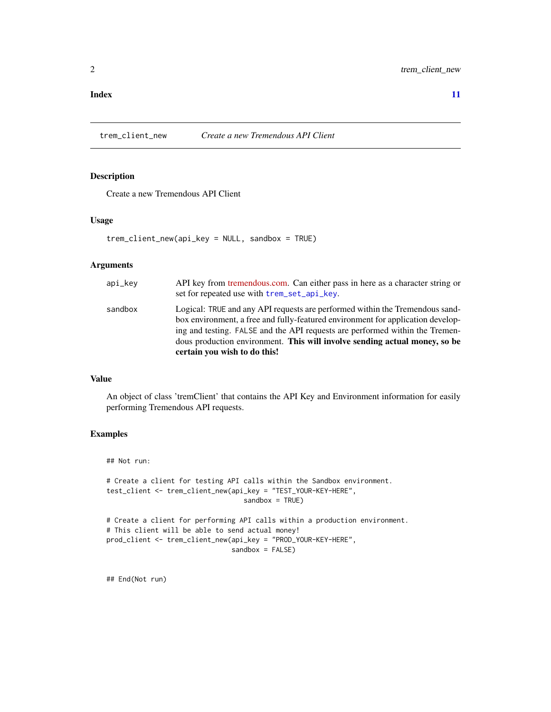#### <span id="page-1-0"></span>**Index** [11](#page-10-0)

<span id="page-1-1"></span>trem\_client\_new *Create a new Tremendous API Client*

#### Description

Create a new Tremendous API Client

#### Usage

trem\_client\_new(api\_key = NULL, sandbox = TRUE)

#### Arguments

|         | certain you wish to do this!                                                    |
|---------|---------------------------------------------------------------------------------|
|         | dous production environment. This will involve sending actual money, so be      |
|         | ing and testing. FALSE and the API requests are performed within the Tremen-    |
|         | box environment, a free and fully-featured environment for application develop- |
| sandbox | Logical: TRUE and any API requests are performed within the Tremendous sand-    |
|         | set for repeated use with trem_set_api_key.                                     |
| api_kev | API key from tremendous.com. Can either pass in here as a character string or   |

#### Value

An object of class 'tremClient' that contains the API Key and Environment information for easily performing Tremendous API requests.

#### Examples

```
## Not run:
# Create a client for testing API calls within the Sandbox environment.
test_client <- trem_client_new(api_key = "TEST_YOUR-KEY-HERE",
                                  sandbox = TRUE)
# Create a client for performing API calls within a production environment.
# This client will be able to send actual money!
prod_client <- trem_client_new(api_key = "PROD_YOUR-KEY-HERE",
                               sandbox = FALSE)
```
## End(Not run)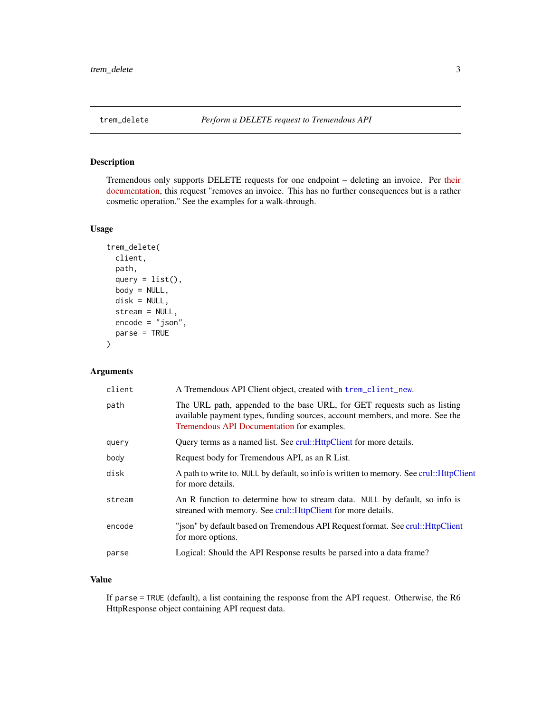<span id="page-2-0"></span>

#### Description

Tremendous only supports DELETE requests for one endpoint – deleting an invoice. Per [their](https://developers.tremendous.com/reference/core-invoices-delete) [documentation,](https://developers.tremendous.com/reference/core-invoices-delete) this request "removes an invoice. This has no further consequences but is a rather cosmetic operation." See the examples for a walk-through.

#### Usage

```
trem_delete(
  client,
 path,
  query = list(),
  body = NULL,
  disk = NULL,stream = NULL,
  encode = "json",
 parse = TRUE
)
```
#### Arguments

| client | A Tremendous API Client object, created with trem_client_new.                                                                                                                                          |
|--------|--------------------------------------------------------------------------------------------------------------------------------------------------------------------------------------------------------|
| path   | The URL path, appended to the base URL, for GET requests such as listing<br>available payment types, funding sources, account members, and more. See the<br>Tremendous API Documentation for examples. |
| query  | Query terms as a named list. See crul:: HttpClient for more details.                                                                                                                                   |
| body   | Request body for Tremendous API, as an R List.                                                                                                                                                         |
| disk   | A path to write to. NULL by default, so info is written to memory. See crul:: HttpClient<br>for more details.                                                                                          |
| stream | An R function to determine how to stream data. NULL by default, so info is<br>streaned with memory. See crul:: HttpClient for more details.                                                            |
| encode | "json" by default based on Tremendous API Request format. See crul:: HttpClient<br>for more options.                                                                                                   |
| parse  | Logical: Should the API Response results be parsed into a data frame?                                                                                                                                  |
|        |                                                                                                                                                                                                        |

#### Value

If parse = TRUE (default), a list containing the response from the API request. Otherwise, the R6 HttpResponse object containing API request data.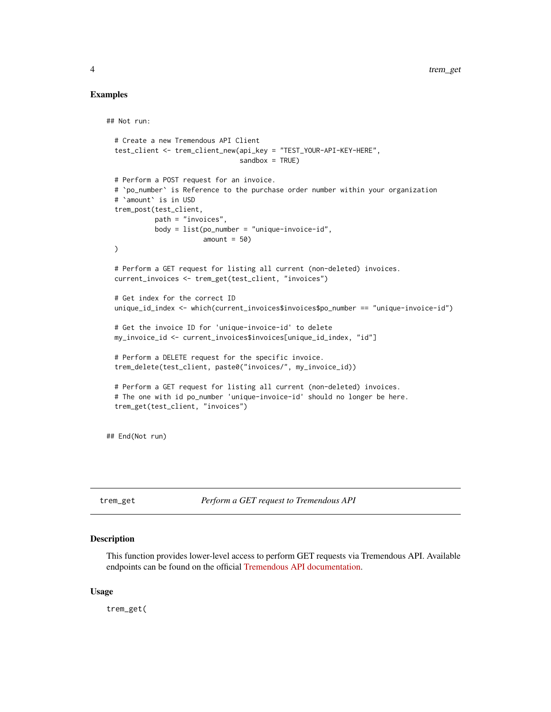#### Examples

## Not run:

```
# Create a new Tremendous API Client
 test_client <- trem_client_new(api_key = "TEST_YOUR-API-KEY-HERE",
                                sandbox = TRUE# Perform a POST request for an invoice.
 # `po_number` is Reference to the purchase order number within your organization
 # `amount` is in USD
 trem_post(test_client,
           path = "invoices",
           body = list(po_number = "unique-invoice-id",amount = 50)
 # Perform a GET request for listing all current (non-deleted) invoices.
 current_invoices <- trem_get(test_client, "invoices")
 # Get index for the correct ID
 unique_id_index <- which(current_invoices$invoices$po_number == "unique-invoice-id")
 # Get the invoice ID for 'unique-invoice-id' to delete
 my_invoice_id <- current_invoices$invoices[unique_id_index, "id"]
 # Perform a DELETE request for the specific invoice.
 trem_delete(test_client, paste0("invoices/", my_invoice_id))
 # Perform a GET request for listing all current (non-deleted) invoices.
 # The one with id po_number 'unique-invoice-id' should no longer be here.
 trem_get(test_client, "invoices")
## End(Not run)
```
trem\_get *Perform a GET request to Tremendous API*

#### Description

This function provides lower-level access to perform GET requests via Tremendous API. Available endpoints can be found on the official [Tremendous API documentation.](https://developers.tremendous.com/)

#### Usage

trem\_get(

<span id="page-3-0"></span>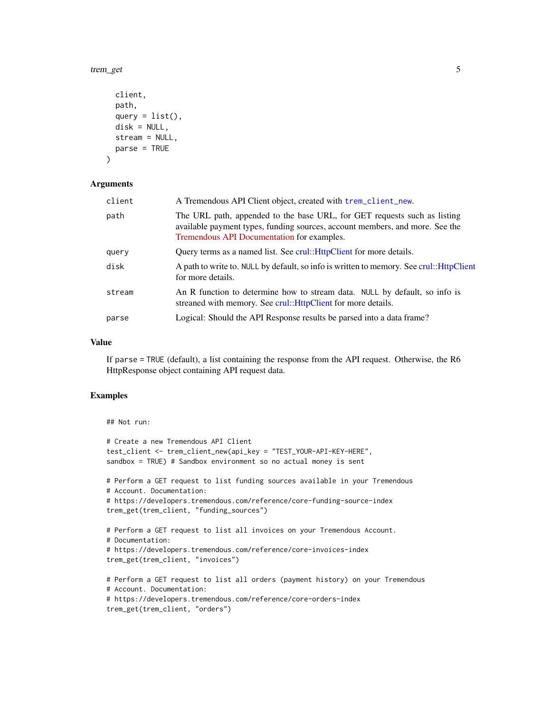<span id="page-4-0"></span>trem\_get 5

```
client,
  path,
  query = list().
  disk = NULL,stream = NULL,
 parse = TRUE
\lambda
```
#### Arguments

| client | A Tremendous API Client object, created with trem_client_new.                                                                                                                                          |
|--------|--------------------------------------------------------------------------------------------------------------------------------------------------------------------------------------------------------|
| path   | The URL path, appended to the base URL, for GET requests such as listing<br>available payment types, funding sources, account members, and more. See the<br>Tremendous API Documentation for examples. |
| query  | Query terms as a named list. See crul:: HttpClient for more details.                                                                                                                                   |
| disk   | A path to write to. NULL by default, so info is written to memory. See crul:: HttpClient<br>for more details.                                                                                          |
| stream | An R function to determine how to stream data. NULL by default, so info is<br>streaned with memory. See crul:: HttpClient for more details.                                                            |
| parse  | Logical: Should the API Response results be parsed into a data frame?                                                                                                                                  |

#### Value

If parse = TRUE (default), a list containing the response from the API request. Otherwise, the R6 HttpResponse object containing API request data.

#### Examples

```
## Not run:
# Create a new Tremendous API Client
test_client <- trem_client_new(api_key = "TEST_YOUR-API-KEY-HERE",
sandbox = TRUE) # Sandbox environment so no actual money is sent
# Perform a GET request to list funding sources available in your Tremendous
# Account. Documentation:
# https://developers.tremendous.com/reference/core-funding-source-index
trem_get(trem_client, "funding_sources")
# Perform a GET request to list all invoices on your Tremendous Account.
# Documentation:
# https://developers.tremendous.com/reference/core-invoices-index
trem_get(trem_client, "invoices")
# Perform a GET request to list all orders (payment history) on your Tremendous
# Account. Documentation:
# https://developers.tremendous.com/reference/core-orders-index
trem_get(trem_client, "orders")
```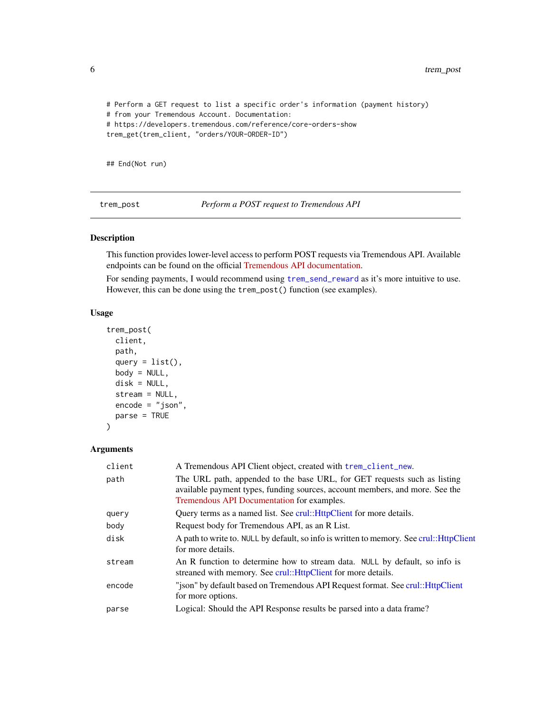```
# Perform a GET request to list a specific order's information (payment history)
# from your Tremendous Account. Documentation:
# https://developers.tremendous.com/reference/core-orders-show
trem_get(trem_client, "orders/YOUR-ORDER-ID")
```
## End(Not run)

trem\_post *Perform a POST request to Tremendous API*

#### Description

This function provides lower-level access to perform POST requests via Tremendous API. Available endpoints can be found on the official [Tremendous API documentation.](https://developers.tremendous.com/)

For sending payments, I would recommend using [trem\\_send\\_reward](#page-7-1) as it's more intuitive to use. However, this can be done using the trem\_post() function (see examples).

#### Usage

```
trem_post(
 client,
 path,
  query = list(),
 body = NULL,disk = NULL,
  stream = NULL,
  encode = "json",
 parse = TRUE
)
```
#### Arguments

| client | A Tremendous API Client object, created with trem_client_new.                                                                                                                                          |
|--------|--------------------------------------------------------------------------------------------------------------------------------------------------------------------------------------------------------|
| path   | The URL path, appended to the base URL, for GET requests such as listing<br>available payment types, funding sources, account members, and more. See the<br>Tremendous API Documentation for examples. |
| query  | Query terms as a named list. See crul:: HttpClient for more details.                                                                                                                                   |
| body   | Request body for Tremendous API, as an R List.                                                                                                                                                         |
| disk   | A path to write to. NULL by default, so info is written to memory. See crul:: HttpClient<br>for more details.                                                                                          |
| stream | An R function to determine how to stream data. NULL by default, so info is<br>streaned with memory. See crul:: HttpClient for more details.                                                            |
| encode | "ison" by default based on Tremendous API Request format. See crul:: HttpClient<br>for more options.                                                                                                   |
| parse  | Logical: Should the API Response results be parsed into a data frame?                                                                                                                                  |

<span id="page-5-0"></span>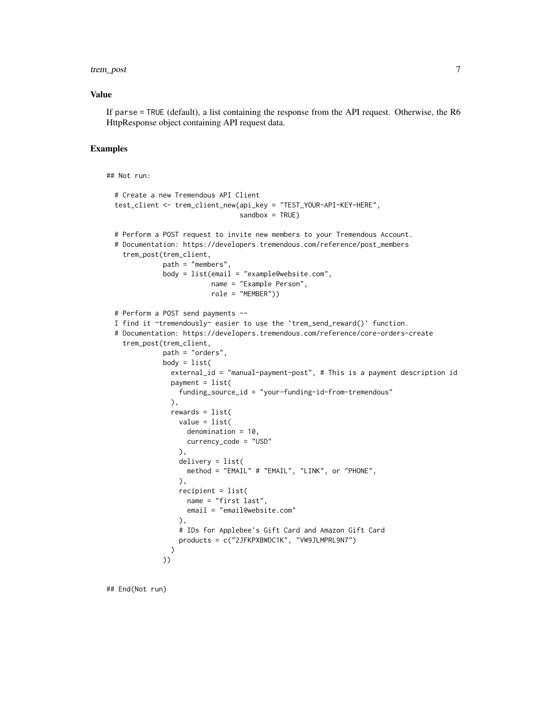#### trem\_post 7

#### Value

If parse = TRUE (default), a list containing the response from the API request. Otherwise, the R6 HttpResponse object containing API request data.

#### Examples

```
## Not run:
 # Create a new Tremendous API Client
 test_client <- trem_client_new(api_key = "TEST_YOUR-API-KEY-HERE",
                                 sandbox = TRUE)
 # Perform a POST request to invite new members to your Tremendous Account.
 # Documentation: https://developers.tremendous.com/reference/post_members
    trem_post(trem_client,
              path = "members",
              body = list(email = "example@website.com",
                          name = "Example Person",
                          role = "MEMBER"))
 # Perform a POST send payments --
 I find it ~tremendously~ easier to use the `trem_send_reward()` function.
 # Documentation: https://developers.tremendous.com/reference/core-orders-create
    trem_post(trem_client,
             path = "orders",
              body = list(external_id = "manual-payment-post", # This is a payment description id
                payment = list(funding_source_id = "your-funding-id-from-tremendous"
                ),
                rewards = list(
                  value = list(
                    denomination = 10,
                    currency_code = "USD"
                  ),
                  delivery = list(
                    method = "EMAIL" # "EMAIL", "LINK", or "PHONE",
                  ),
                  recipient = list(
                    name = "first last",
                    email = "email@website.com"
                  ),
                  # IDs for Applebee's Gift Card and Amazon Gift Card
                  products = c("2JFKPXBWDC1K", "VW9JLMPRL9N7")
                )
             ))
```
## End(Not run)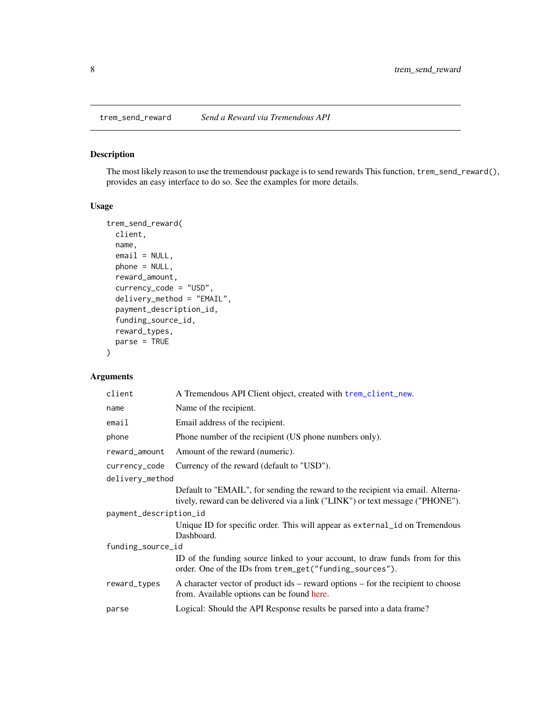<span id="page-7-1"></span><span id="page-7-0"></span>

#### Description

The most likely reason to use the tremendousr package is to send rewards This function, trem\_send\_reward(), provides an easy interface to do so. See the examples for more details.

#### Usage

```
trem_send_reward(
 client,
 name,
  email = NULL,phone = NULL,
  reward_amount,
  currency_code = "USD",
  delivery_method = "EMAIL",
  payment_description_id,
  funding_source_id,
  reward_types,
  parse = TRUE
)
```
#### Arguments

| client                 | A Tremendous API Client object, created with trem_client_new.                                                                                                     |  |  |
|------------------------|-------------------------------------------------------------------------------------------------------------------------------------------------------------------|--|--|
| name                   | Name of the recipient.                                                                                                                                            |  |  |
| email                  | Email address of the recipient.                                                                                                                                   |  |  |
| phone                  | Phone number of the recipient (US phone numbers only).                                                                                                            |  |  |
| reward_amount          | Amount of the reward (numeric).                                                                                                                                   |  |  |
| currency_code          | Currency of the reward (default to "USD").                                                                                                                        |  |  |
| delivery_method        |                                                                                                                                                                   |  |  |
|                        | Default to "EMAIL", for sending the reward to the recipient via email. Alterna-<br>tively, reward can be delivered via a link ("LINK") or text message ("PHONE"). |  |  |
| payment_description_id |                                                                                                                                                                   |  |  |
|                        | Unique ID for specific order. This will appear as external id on Tremendous                                                                                       |  |  |
|                        | Dashboard.                                                                                                                                                        |  |  |
| funding_source_id      |                                                                                                                                                                   |  |  |
|                        | ID of the funding source linked to your account, to draw funds from for this<br>order. One of the IDs from trem_get("funding_sources").                           |  |  |
| reward_types           | A character vector of product $ids$ – reward options – for the recipient to choose<br>from. Available options can be found here.                                  |  |  |
| parse                  | Logical: Should the API Response results be parsed into a data frame?                                                                                             |  |  |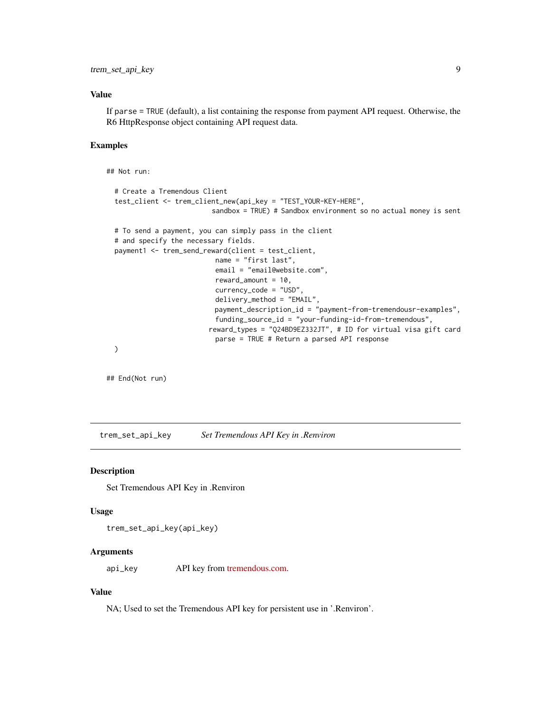#### <span id="page-8-0"></span>Value

If parse = TRUE (default), a list containing the response from payment API request. Otherwise, the R6 HttpResponse object containing API request data.

#### Examples

## Not run:

```
# Create a Tremendous Client
test_client <- trem_client_new(api_key = "TEST_YOUR-KEY-HERE",
                        sandbox = TRUE) # Sandbox environment so no actual money is sent
# To send a payment, you can simply pass in the client
# and specify the necessary fields.
payment1 <- trem_send_reward(client = test_client,
                         name = "first last",
                         email = "email@website.com",
                         reward_amount = 10,
                         currency_code = "USD",
                         delivery_method = "EMAIL",
                         payment_description_id = "payment-from-tremendousr-examples",
                         funding_source_id = "your-funding-id-from-tremendous",
                        reward_types = "Q24BD9EZ332JT", # ID for virtual visa gift card
                         parse = TRUE # Return a parsed API response
)
```
## End(Not run)

<span id="page-8-1"></span>trem\_set\_api\_key *Set Tremendous API Key in .Renviron*

#### Description

Set Tremendous API Key in .Renviron

#### Usage

trem\_set\_api\_key(api\_key)

#### Arguments

api\_key API key from [tremendous.com.](https://developers.tremendous.com/)

#### Value

NA; Used to set the Tremendous API key for persistent use in '.Renviron'.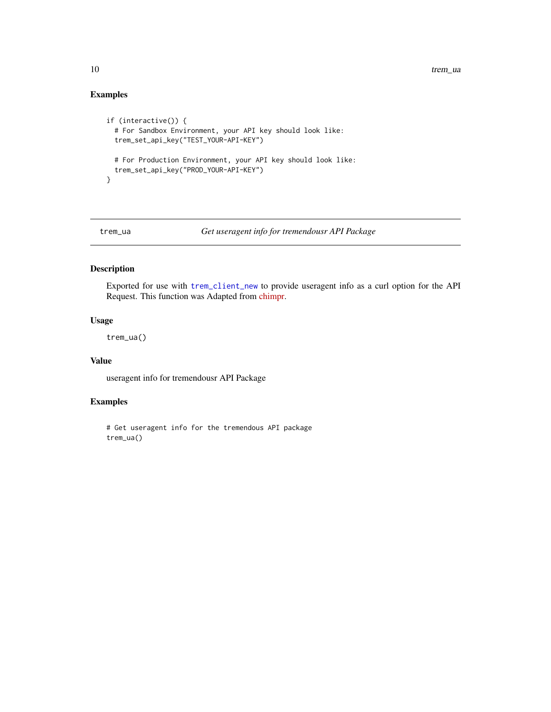#### Examples

```
if (interactive()) {
 # For Sandbox Environment, your API key should look like:
 trem_set_api_key("TEST_YOUR-API-KEY")
 # For Production Environment, your API key should look like:
 trem_set_api_key("PROD_YOUR-API-KEY")
}
```
trem\_ua *Get useragent info for tremendousr API Package*

#### Description

Exported for use with [trem\\_client\\_new](#page-1-1) to provide useragent info as a curl option for the API Request. This function was Adapted from [chimpr.](https://github.com/jdtrat/chimpr/)

#### Usage

trem\_ua()

#### Value

useragent info for tremendousr API Package

#### Examples

```
# Get useragent info for the tremendous API package
trem_ua()
```
<span id="page-9-0"></span>